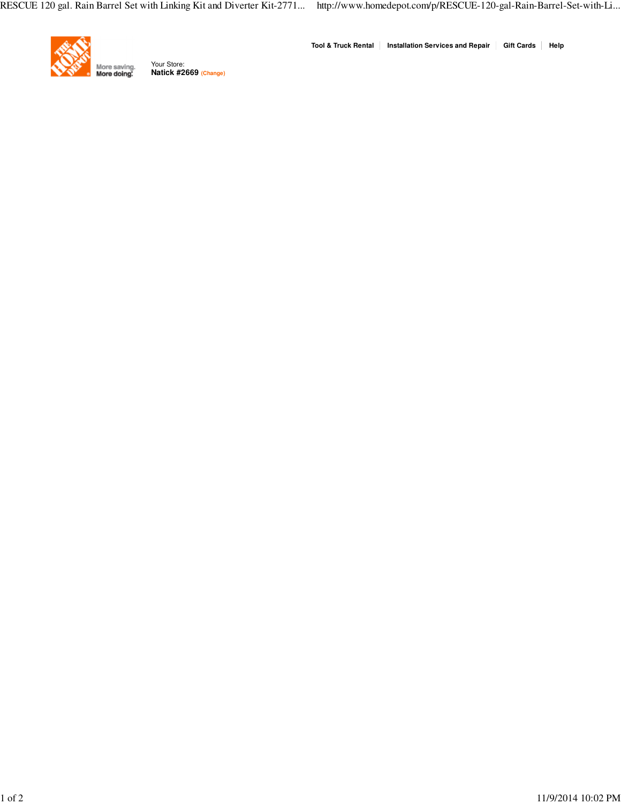

**Natick #2669 (Change)** Your Store:

**Tool & Truck Rental Installation Services and Repair Gift Cards Help**